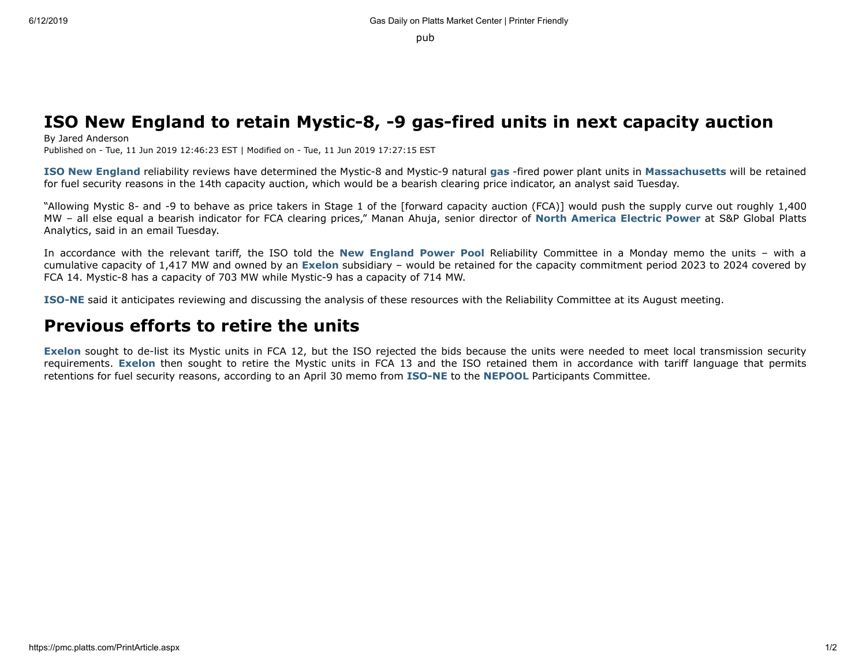pub

## **ISO New England to retain Mystic-8, -9 gas-fired units in next capacity auction**

By Jared Anderson Published on - Tue, 11 Jun 2019 12:46:23 EST | Modified on - Tue, 11 Jun 2019 17:27:15 EST

**ISO New England** reliability reviews have determined the Mystic-8 and Mystic-9 natural **gas** -fired power plant units in **Massachusetts** will be retained for fuel security reasons in the 14th capacity auction, which would be a bearish clearing price indicator, an analyst said Tuesday.

"Allowing Mystic 8- and -9 to behave as price takers in Stage 1 of the [forward capacity auction (FCA)] would push the supply curve out roughly 1,400 MW – all else equal a bearish indicator for FCA clearing prices," Manan Ahuja, senior director of **North America Electric Power** at S&P Global Platts Analytics, said in an email Tuesday.

In accordance with the relevant tariff, the ISO told the **New England Power Pool** Reliability Committee in a Monday memo the units – with a cumulative capacity of 1,417 MW and owned by an **Exelon** subsidiary – would be retained for the capacity commitment period 2023 to 2024 covered by FCA 14. Mystic-8 has a capacity of 703 MW while Mystic-9 has a capacity of 714 MW.

**ISO-NE** said it anticipates reviewing and discussing the analysis of these resources with the Reliability Committee at its August meeting.

## **Previous efforts to retire the units**

**Exelon** sought to de-list its Mystic units in FCA 12, but the ISO rejected the bids because the units were needed to meet local transmission security requirements. **Exelon** then sought to retire the Mystic units in FCA 13 and the ISO retained them in accordance with tariff language that permits retentions for fuel security reasons, according to an April 30 memo from **ISO-NE** to the **NEPOOL** Participants Committee.